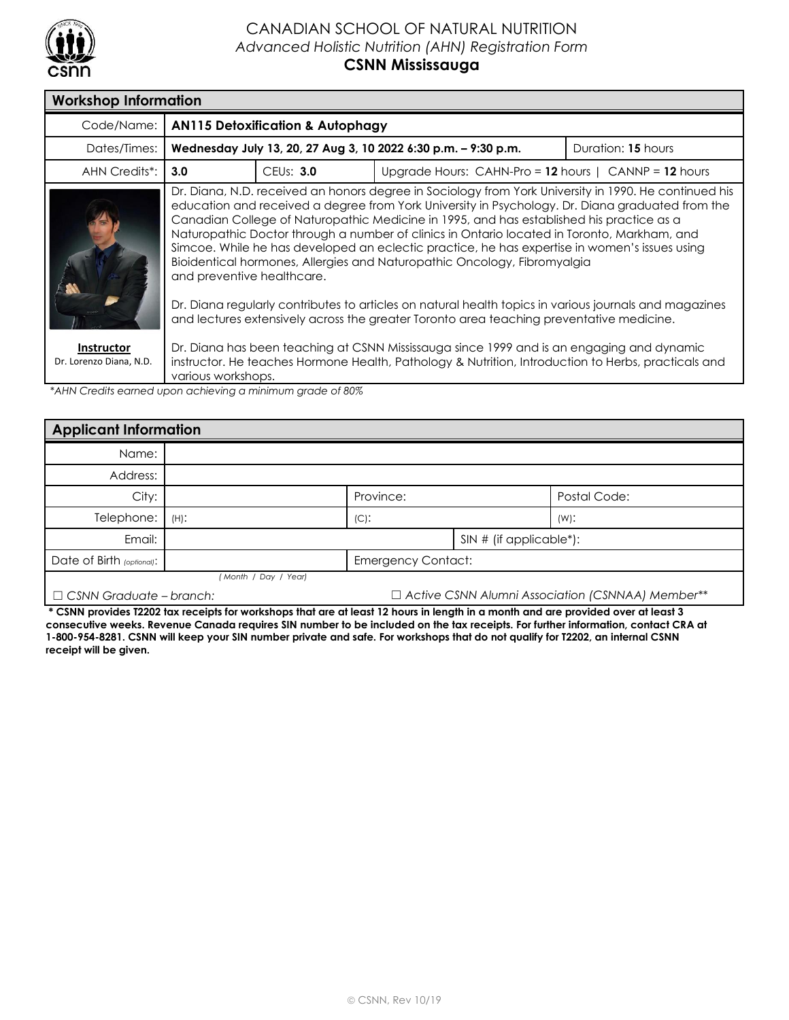

## CANADIAN SCHOOL OF NATURAL NUTRITION *Advanced Holistic Nutrition (AHN) Registration Form* **CSNN Mississauga**

| <b>Workshop Information</b>                  |                                                                                                                                                                                                                                                                                                                                                                                                                                                                                                                                                                                                                 |                        |                                                           |  |  |  |
|----------------------------------------------|-----------------------------------------------------------------------------------------------------------------------------------------------------------------------------------------------------------------------------------------------------------------------------------------------------------------------------------------------------------------------------------------------------------------------------------------------------------------------------------------------------------------------------------------------------------------------------------------------------------------|------------------------|-----------------------------------------------------------|--|--|--|
| Code/Name:                                   | <b>AN115 Detoxification &amp; Autophagy</b>                                                                                                                                                                                                                                                                                                                                                                                                                                                                                                                                                                     |                        |                                                           |  |  |  |
| Dates/Times:                                 | Wednesday July 13, 20, 27 Aug 3, 10 2022 6:30 p.m. - 9:30 p.m.<br>Duration: 15 hours                                                                                                                                                                                                                                                                                                                                                                                                                                                                                                                            |                        |                                                           |  |  |  |
| AHN Credits*:                                | 3.0                                                                                                                                                                                                                                                                                                                                                                                                                                                                                                                                                                                                             | CEU <sub>s</sub> : 3.0 | Upgrade Hours: CAHN-Pro = $12$ hours   CANNP = $12$ hours |  |  |  |
|                                              | Dr. Diana, N.D. received an honors degree in Sociology from York University in 1990. He continued his<br>education and received a degree from York University in Psychology. Dr. Diana graduated from the<br>Canadian College of Naturopathic Medicine in 1995, and has established his practice as a<br>Naturopathic Doctor through a number of clinics in Ontario located in Toronto, Markham, and<br>Simcoe. While he has developed an eclectic practice, he has expertise in women's issues using<br>Bioidentical hormones, Allergies and Naturopathic Oncology, Fibromyalgia<br>and preventive healthcare. |                        |                                                           |  |  |  |
|                                              | Dr. Diana regularly contributes to articles on natural health topics in various journals and magazines<br>and lectures extensively across the greater Toronto area teaching preventative medicine.                                                                                                                                                                                                                                                                                                                                                                                                              |                        |                                                           |  |  |  |
| <b>Instructor</b><br>Dr. Lorenzo Diana, N.D. | Dr. Diana has been teaching at CSNN Mississauga since 1999 and is an engaging and dynamic<br>instructor. He teaches Hormone Health, Pathology & Nutrition, Introduction to Herbs, practicals and<br>various workshops.                                                                                                                                                                                                                                                                                                                                                                                          |                        |                                                           |  |  |  |

*\*AHN Credits earned upon achieving a minimum grade of 80%*

| <b>Applicant Information</b> |                           |           |                           |              |  |
|------------------------------|---------------------------|-----------|---------------------------|--------------|--|
| Name:                        |                           |           |                           |              |  |
| Address:                     |                           |           |                           |              |  |
| City:                        |                           | Province: |                           | Postal Code: |  |
| Telephone:                   | $(H)$ :                   | $(C)$ :   |                           | $(W)$ :      |  |
| Email:                       |                           |           | $SIN$ # (if applicable*): |              |  |
| Date of Birth (optional):    | <b>Emergency Contact:</b> |           |                           |              |  |
|                              | (Month / Day / Year)      |           |                           |              |  |

☐ *CSNN Graduate – branch:* ☐ *Active CSNN Alumni Association (CSNNAA) Member\*\**

**\* CSNN provides T2202 tax receipts for workshops that are at least 12 hours in length in a month and are provided over at least 3 consecutive weeks. Revenue Canada requires SIN number to be included on the tax receipts. For further information, contact CRA at 1-800-954-8281. CSNN will keep your SIN number private and safe. For workshops that do not qualify for T2202, an internal CSNN receipt will be given.**